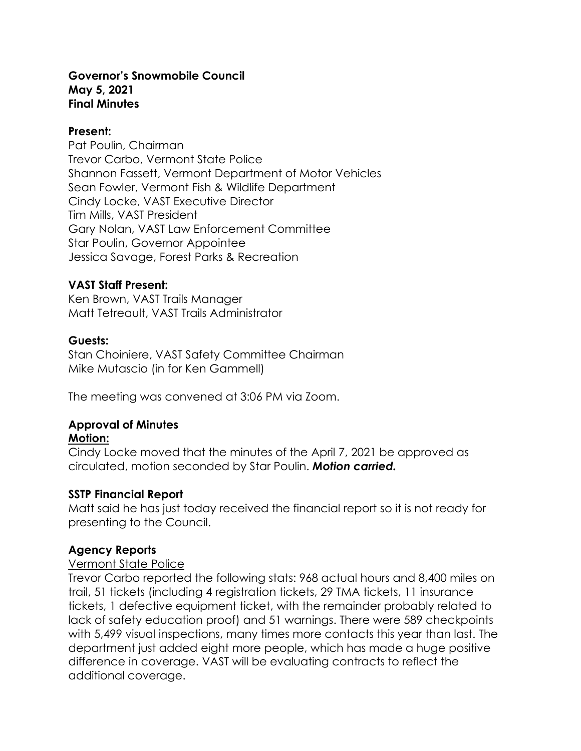#### **Governor's Snowmobile Council May 5, 2021 Final Minutes**

#### **Present:**

Pat Poulin, Chairman Trevor Carbo, Vermont State Police Shannon Fassett, Vermont Department of Motor Vehicles Sean Fowler, Vermont Fish & Wildlife Department Cindy Locke, VAST Executive Director Tim Mills, VAST President Gary Nolan, VAST Law Enforcement Committee Star Poulin, Governor Appointee Jessica Savage, Forest Parks & Recreation

### **VAST Staff Present:**

Ken Brown, VAST Trails Manager Matt Tetreault, VAST Trails Administrator

## **Guests:**

Stan Choiniere, VAST Safety Committee Chairman Mike Mutascio (in for Ken Gammell)

The meeting was convened at 3:06 PM via Zoom.

# **Approval of Minutes**

### **Motion:**

Cindy Locke moved that the minutes of the April 7, 2021 be approved as circulated, motion seconded by Star Poulin. *Motion carried.*

### **SSTP Financial Report**

Matt said he has just today received the financial report so it is not ready for presenting to the Council.

## **Agency Reports**

### Vermont State Police

Trevor Carbo reported the following stats: 968 actual hours and 8,400 miles on trail, 51 tickets (including 4 registration tickets, 29 TMA tickets, 11 insurance tickets, 1 defective equipment ticket, with the remainder probably related to lack of safety education proof) and 51 warnings. There were 589 checkpoints with 5,499 visual inspections, many times more contacts this year than last. The department just added eight more people, which has made a huge positive difference in coverage. VAST will be evaluating contracts to reflect the additional coverage.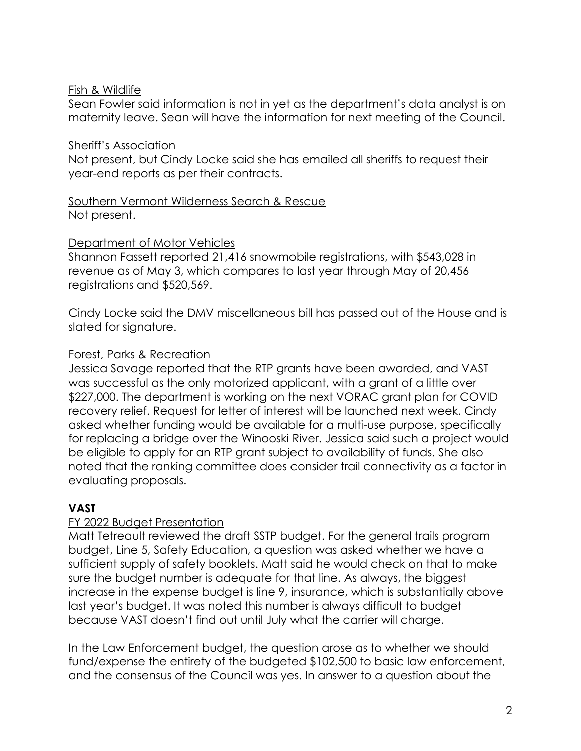### Fish & Wildlife

Sean Fowler said information is not in yet as the department's data analyst is on maternity leave. Sean will have the information for next meeting of the Council.

#### Sheriff's Association

Not present, but Cindy Locke said she has emailed all sheriffs to request their year-end reports as per their contracts.

### Southern Vermont Wilderness Search & Rescue Not present.

#### Department of Motor Vehicles

Shannon Fassett reported 21,416 snowmobile registrations, with \$543,028 in revenue as of May 3, which compares to last year through May of 20,456 registrations and \$520,569.

Cindy Locke said the DMV miscellaneous bill has passed out of the House and is slated for signature.

### Forest, Parks & Recreation

Jessica Savage reported that the RTP grants have been awarded, and VAST was successful as the only motorized applicant, with a grant of a little over \$227,000. The department is working on the next VORAC grant plan for COVID recovery relief. Request for letter of interest will be launched next week. Cindy asked whether funding would be available for a multi-use purpose, specifically for replacing a bridge over the Winooski River. Jessica said such a project would be eligible to apply for an RTP grant subject to availability of funds. She also noted that the ranking committee does consider trail connectivity as a factor in evaluating proposals.

## **VAST**

## FY 2022 Budget Presentation

Matt Tetreault reviewed the draft SSTP budget. For the general trails program budget, Line 5, Safety Education, a question was asked whether we have a sufficient supply of safety booklets. Matt said he would check on that to make sure the budget number is adequate for that line. As always, the biggest increase in the expense budget is line 9, insurance, which is substantially above last year's budget. It was noted this number is always difficult to budget because VAST doesn't find out until July what the carrier will charge.

In the Law Enforcement budget, the question arose as to whether we should fund/expense the entirety of the budgeted \$102,500 to basic law enforcement, and the consensus of the Council was yes. In answer to a question about the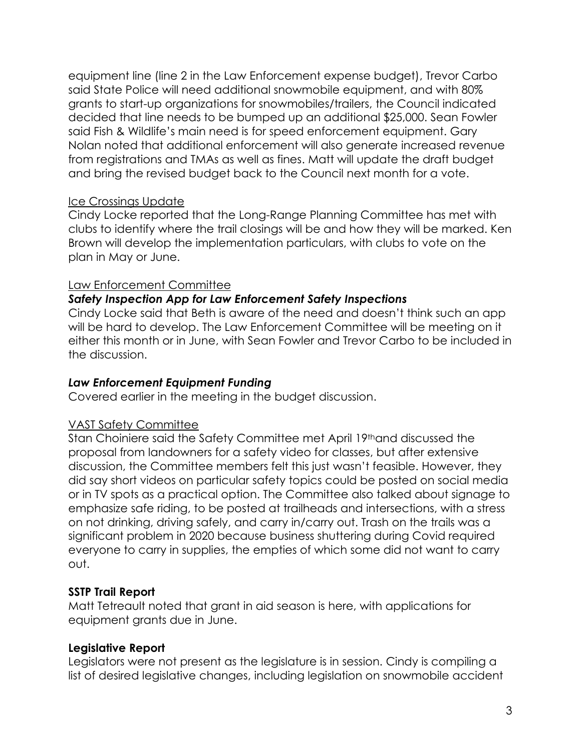equipment line (line 2 in the Law Enforcement expense budget), Trevor Carbo said State Police will need additional snowmobile equipment, and with 80% grants to start-up organizations for snowmobiles/trailers, the Council indicated decided that line needs to be bumped up an additional \$25,000. Sean Fowler said Fish & Wildlife's main need is for speed enforcement equipment. Gary Nolan noted that additional enforcement will also generate increased revenue from registrations and TMAs as well as fines. Matt will update the draft budget and bring the revised budget back to the Council next month for a vote.

## Ice Crossings Update

Cindy Locke reported that the Long-Range Planning Committee has met with clubs to identify where the trail closings will be and how they will be marked. Ken Brown will develop the implementation particulars, with clubs to vote on the plan in May or June.

## Law Enforcement Committee

## *Safety Inspection App for Law Enforcement Safety Inspections*

Cindy Locke said that Beth is aware of the need and doesn't think such an app will be hard to develop. The Law Enforcement Committee will be meeting on it either this month or in June, with Sean Fowler and Trevor Carbo to be included in the discussion.

### *Law Enforcement Equipment Funding*

Covered earlier in the meeting in the budget discussion.

### VAST Safety Committee

Stan Choiniere said the Safety Committee met April 19thand discussed the proposal from landowners for a safety video for classes, but after extensive discussion, the Committee members felt this just wasn't feasible. However, they did say short videos on particular safety topics could be posted on social media or in TV spots as a practical option. The Committee also talked about signage to emphasize safe riding, to be posted at trailheads and intersections, with a stress on not drinking, driving safely, and carry in/carry out. Trash on the trails was a significant problem in 2020 because business shuttering during Covid required everyone to carry in supplies, the empties of which some did not want to carry out.

## **SSTP Trail Report**

Matt Tetreault noted that grant in aid season is here, with applications for equipment grants due in June.

## **Legislative Report**

Legislators were not present as the legislature is in session. Cindy is compiling a list of desired legislative changes, including legislation on snowmobile accident